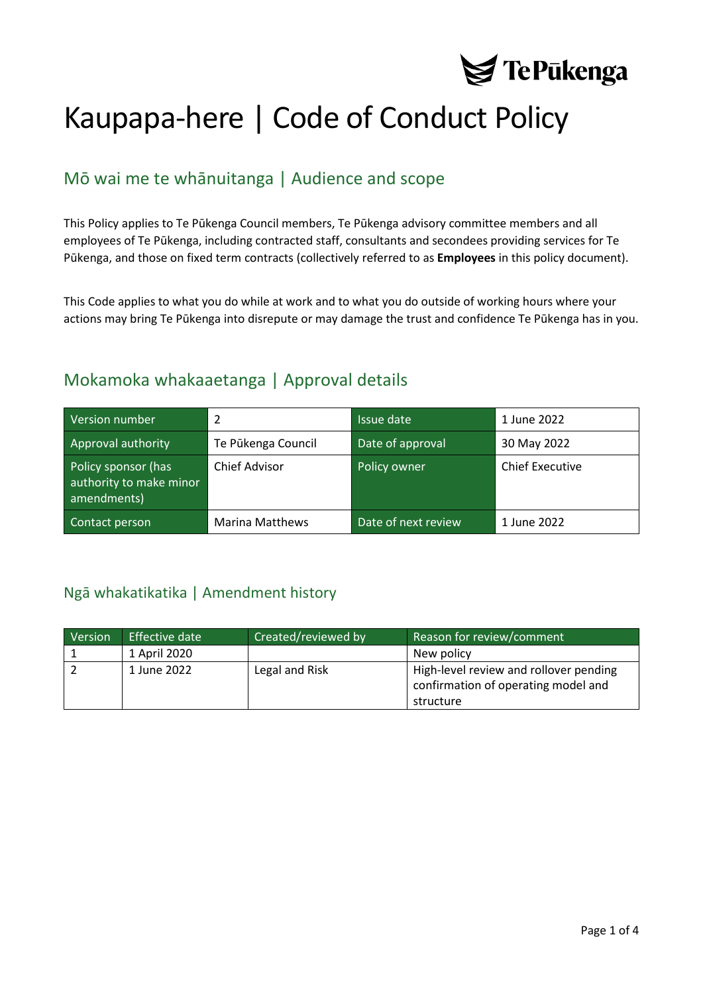

# Kaupapa-here | Code of Conduct Policy

## Mō wai me te whānuitanga | Audience and scope

This Policy applies to Te Pūkenga Council members, Te Pūkenga advisory committee members and all employees of Te Pūkenga, including contracted staff, consultants and secondees providing services for Te Pūkenga, and those on fixed term contracts (collectively referred to as **Employees** in this policy document).

This Code applies to what you do while at work and to what you do outside of working hours where your actions may bring Te Pūkenga into disrepute or may damage the trust and confidence Te Pūkenga has in you.

## Mokamoka whakaaetanga | Approval details

| Version number                                                | 2                      | Issue date          | 1 June 2022            |
|---------------------------------------------------------------|------------------------|---------------------|------------------------|
| Approval authority                                            | Te Pūkenga Council     | Date of approval    | 30 May 2022            |
| Policy sponsor (has<br>authority to make minor<br>amendments) | <b>Chief Advisor</b>   | Policy owner        | <b>Chief Executive</b> |
| Contact person                                                | <b>Marina Matthews</b> | Date of next review | 1 June 2022            |

### <span id="page-0-0"></span>Ngā whakatikatika | Amendment history

| Version | Effective date | Created/reviewed by | Reason for review/comment                                                     |
|---------|----------------|---------------------|-------------------------------------------------------------------------------|
|         | 1 April 2020   |                     | New policy                                                                    |
|         | 1 June 2022    | Legal and Risk      | High-level review and rollover pending<br>confirmation of operating model and |
|         |                |                     | structure                                                                     |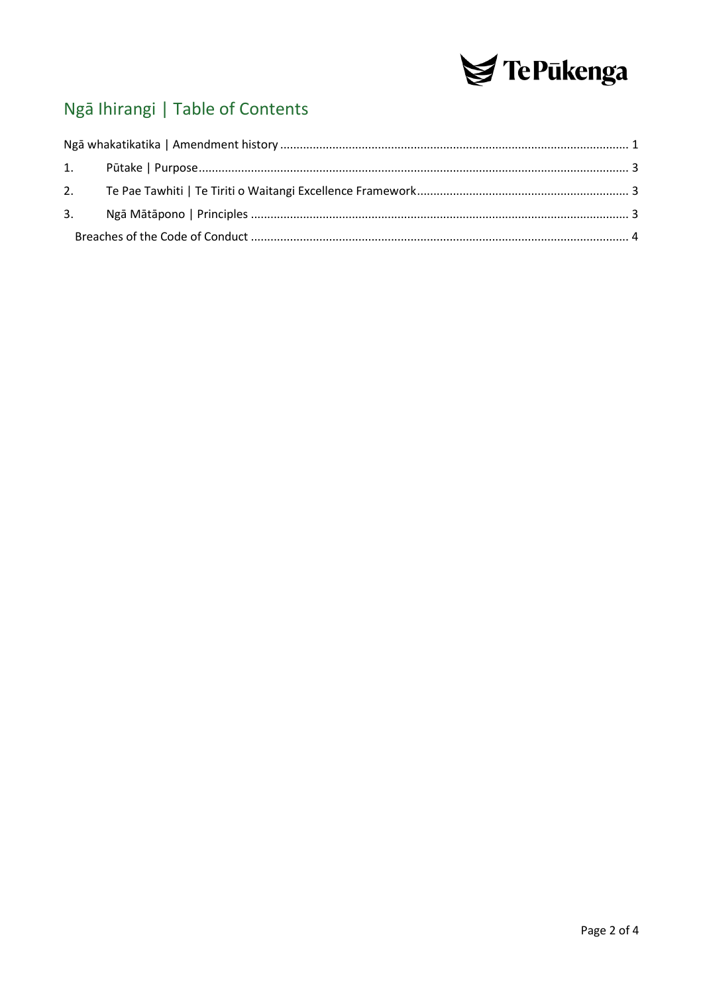

## Ngā Ihirangi | Table of Contents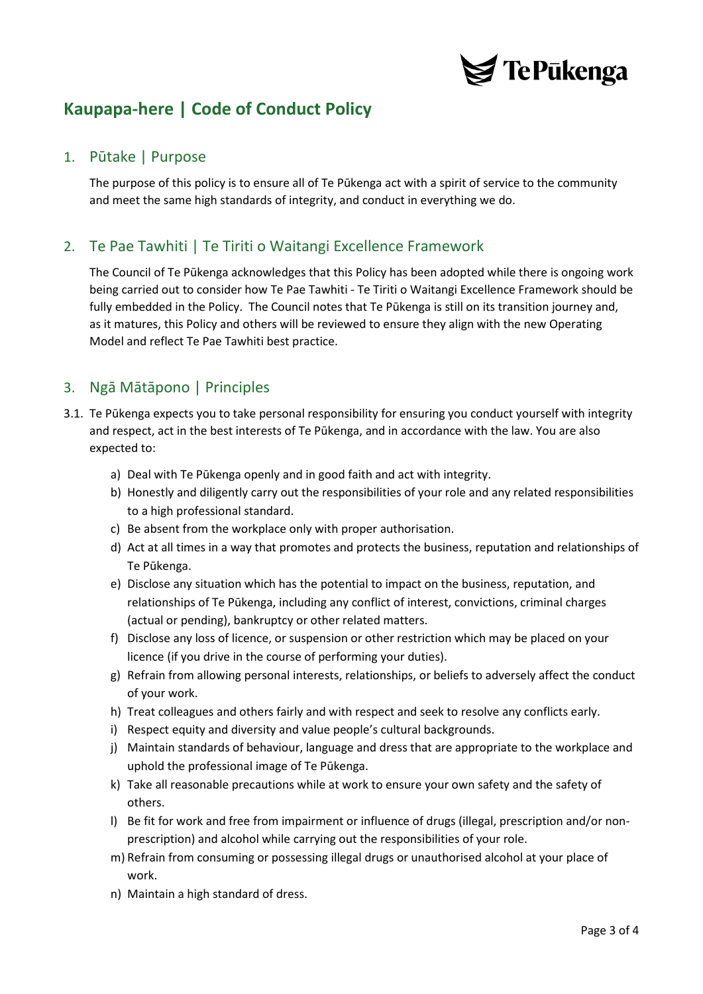

## **Kaupapa-here | Code of Conduct Policy**

#### <span id="page-2-0"></span>1. Pūtake | Purpose

The purpose of this policy is to ensure all of Te Pūkenga act with a spirit of service to the community and meet the same high standards of integrity, and conduct in everything we do.

#### <span id="page-2-1"></span>2. Te Pae Tawhiti | Te Tiriti o Waitangi Excellence Framework

The Council of Te Pūkenga acknowledges that this Policy has been adopted while there is ongoing work being carried out to consider how Te Pae Tawhiti - Te Tiriti o Waitangi Excellence Framework should be fully embedded in the Policy. The Council notes that Te Pūkenga is still on its transition journey and, as it matures, this Policy and others will be reviewed to ensure they align with the new Operating Model and reflect Te Pae Tawhiti best practice.

#### <span id="page-2-2"></span>3. Ngā Mātāpono | Principles

- 3.1. Te Pūkenga expects you to take personal responsibility for ensuring you conduct yourself with integrity and respect, act in the best interests of Te Pūkenga, and in accordance with the law. You are also expected to:
	- a) Deal with Te Pūkenga openly and in good faith and act with integrity.
	- b) Honestly and diligently carry out the responsibilities of your role and any related responsibilities to a high professional standard.
	- c) Be absent from the workplace only with proper authorisation.
	- d) Act at all times in a way that promotes and protects the business, reputation and relationships of Te Pūkenga.
	- e) Disclose any situation which has the potential to impact on the business, reputation, and relationships of Te Pūkenga, including any conflict of interest, convictions, criminal charges (actual or pending), bankruptcy or other related matters.
	- f) Disclose any loss of licence, or suspension or other restriction which may be placed on your licence (if you drive in the course of performing your duties).
	- g) Refrain from allowing personal interests, relationships, or beliefs to adversely affect the conduct of your work.
	- h) Treat colleagues and others fairly and with respect and seek to resolve any conflicts early.
	- i) Respect equity and diversity and value people's cultural backgrounds.
	- j) Maintain standards of behaviour, language and dress that are appropriate to the workplace and uphold the professional image of Te Pūkenga.
	- k) Take all reasonable precautions while at work to ensure your own safety and the safety of others.
	- l) Be fit for work and free from impairment or influence of drugs (illegal, prescription and/or nonprescription) and alcohol while carrying out the responsibilities of your role.
	- m) Refrain from consuming or possessing illegal drugs or unauthorised alcohol at your place of work.
	- n) Maintain a high standard of dress.